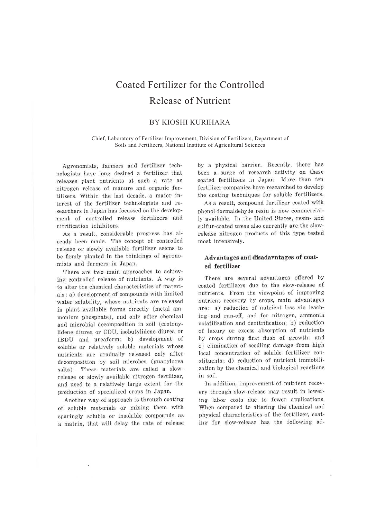# Coated Fertilizer for the Controlled Release of Nutrient

# BY KIOSHI KURIHARA

Chief, Laboratory of Fertilizer Improvement, Division of Fertilizers, Department of Soils and Fertilizers, National Institute of Agricultural Sciences

Agronomists, farmers and fertilizer technologists have long desired a fertilizer that releases plant nutrients at such a rate as nitrogen release of manure and organic fertilizers. Within the last decade, a major interest of the fertilizer technologists and researchers in Japan has focussed on the development of controlled release fertilizers and nitrification inhibitors.

As a result, considerable progress has already been made. The concept of controlled release or slowly available fertilizer seems to be firmly planted in the thinkings of agronomists and farmers in Japan.

There are two main approaches to achieving controlled release of nutrients. A way is to alter the chemical characteristics of materials: a) development of compounds with limited water solubility, whose nutrients are released in plant available forms directly (metal ammonium phosphate), and only after chemical and microbial decomposition in soil (crotonylidene diurea or CDU, isobutylidene diurea or IBDU and ureaform; b) development of soluble or relatively soluble materials whose nutrients are gradually released only after decomposition by soil microbes (guanylurea salts). These materials are called a slowrelease or slowly available nitrogen fertilizer, and used to a relatively large extent for the production of specialized crops in Japan.

Another way of approach is through coating of soluble materials or mixing them with sparingly soluble or insoluble compounds as a matrix, that will delay the rate of release by a physical barrier. Recently, there has been a surge of research activity on these coated fertilizers in Japan. More than ten fertilizer companies have researched to develop the coating techniques for soluble fertilizers.

As a result, compound fertilizer coated with phenol-formaldehyde resin is now commercially available. In the United States, resin- and sulfur-coated ureas also currently are the slowrelease nitrogen products of this type tested most intensively.

## **Advantages and disadavntages of coated fertilizer**

There are several advantages offered by coated fertilizers due to the slow-release of nutrients. From the viewpoint of improving nutrient recovery by crops, main advantages are: a) reduction of nutrient loss via leaching and run-off, and for nitrogen, ammonia volatilization and denitrification; b) reduction of luxury or excess absorption of nutrients by crops during first flush of growth; and c) elimination of seedling damage from high local concentration of soluble fertilizer constituents; d) reduction of nutrient immobilization by the chemical and biological reactions in soil.

In addition, improvement of nutrient recovery through slow-release may result in lowering labor costs due to fewer applications. When compared to altering the chemical and physical characteristics of the fertilizer, coating for slow-release has the following ad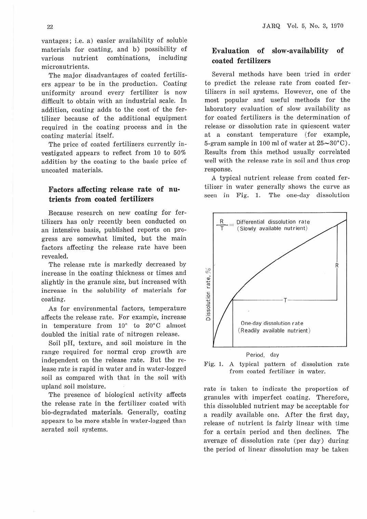vantages; i.e. a) easier availability of soluble materials for coating, and b) possibility of various nutrient combinations, including micronutrients.

The major disadvantages of coated fertilizers appear to be in the production. Coating uniformity around every fertilizer is now difficult to obtain with an industrial scale. In addition, coating adds to the cost of the fertilizer because of the additional equipment required in the coating process and in the coating material itself.

The price of coated fertilizers currently investigated appears to reflect from 10 to 50% addition by the coating to the basic price of uncoated materials.

## **Factors affecting release rate of nutrients from coated fertilizers**

Because research on new coating for fertilizers has only recently been conducted on an intensive basis, published reports on progress are somewhat limited, but the main factors affecting the release rate have been revealed.

The release rate is markedly decreased by increase in the coating thickness or times and slightly in the granule size, but increased with increase in the solubility of materials for coating.

As for environmental factors, temperature affects the release rate. For example, increase in temperature from 10° to 20°C almost doubled the initial rate of nitrogen release.

Soil pH, texture, and soil moisture in the range required for normal crop growth are independent on the release rate. But the release rate is rapid in water and in water-logged soil as compared with that in the soil with upland soil moisture.

The presence of biological activity affects the release rate in the fertilizer coated with bio-degradated materials. Generally, coating appears to be more stable in water-Jogged than aerated soil systems.

## **Evaluation of slow-availability of coated fertilizers**

Several methods have been tried in order to predict the release rate from coated fertilizers in soil systems. However, one of the most popular and useful methods for the laboratory evaluation of slow availability as for coated fertilizers is the determination of release or dissolution rate in quiescent water at a constant temperature (for example, 5-gram sample in 100 ml of water at  $25 \sim 30^{\circ}$ C). Results from this method usually correlated well with the release rate in soil and thus crop response.

A typical nutrient release from coated fertilizer in water generally shows the curve as seen in Fig. 1. The one-day dissolution



### Fig. 1. A typical pattern of dissolution rate from coated fertilizer in water.

rate is taken to indicate the proportion of granules with imperfect coating. Therefore, this dissolubled nutrient may be acceptable for a readily available one. After the first day, release of nutrient is fairly linear with time for a certain period and then declines. The average of dissolution rate (per day) during the period of linear dissolution may be taken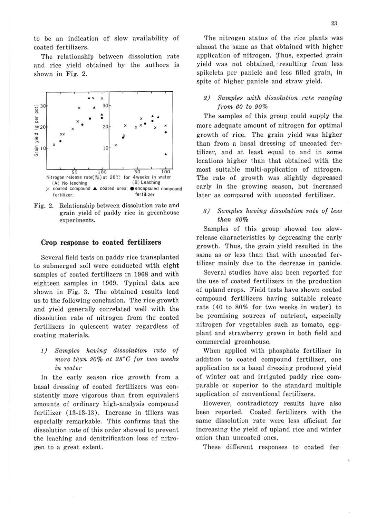to be an indication of slow availability of coated fertilizers.

The relationship between dissolution rate and rice yield obtained by the authors is shown in Fig. 2.



Fig. 2. Relationship between dissolution rate and grain yield of paddy rice in greenhouse experiments.

#### **Crop response to coated fertilizers**

Several field tests on paddy rice transplanted to submerged soil were conducted with eight samples of coated fertilizers in 1968 and with eighteen samples in 1969. Typical data are shown in Fig. 3. The obtained results lead us to the following conclusion. The rice growth and yield generally correlated well with the dissolution rate of nitrogen from the coated fertilizers in quiescent water regardless of coating materials.

1) Samples having dissolution rate of more than 90% at 28°C for two weeks in water

In the early season rice growth from a basal dressing of coated fertilizers was consistently more vigorous than from equivalent amounts of ordinary high-analysis compound fertilizer ( 13-13-13). Increase in tillers was especially remarkable. This confirms that the dissolution rate of this order showed to prevent the leaching and denitrification loss of nitrogen to a great extent.

The nitrogen status of the rice plants was almost the same as that obtained with higher application of nitrogen. Thus, expected grain yield was not obtained, · resulting from less spikelets per panicle and less filled grain, in spite of higher panicle and straw yield.

2) Samples with dissolution rate ranging from 60 to 90%

The samples of this group could supply the more adequate amount of nitrogen for optimal growth of rice. The grain yield was higher than from a basal dressing of uncoated fertilizer, and at least equal to and in some locations higher than that obtained with the most suitable multi-application of nitrogen. The rate of growth was slightly depressed early in the growing season, but increased later as compared with uncoated fertilizer.

*8)* Samples having dissolution rate of less than *60%* 

Samples of this group showed too slowrelease characteristics by depressing the early growth. Thus, the grain yield resulted in the same as or less than that with uncoated fertilizer mainly due to the decrease in panicle.

Several studies have also been reported for the use of coated fertilizers in the production of upland crops. Field tests have shown coated compound fertilizers having suitable release rate (40 to 80% for two weeks in water) to be promising sources of nutrient, especially nitrogen for vegetables such as tomato, eggplant and strawberry grown in both field and commercial greenhouse.

When applied with phosphate fertilizer in addition to coated compound fertilizer, one application as a basal dressing produced yield of winter oat and irrigated paddy rice comparable or superior to the standard multiple application of conventional fertilizers.

However, contradictory results have also been reported. Coated fertilizers with the same dissolution rate were less efficient for increasing the yield of upland rice and winter onion than uncoated ones.

These different responses to coated fer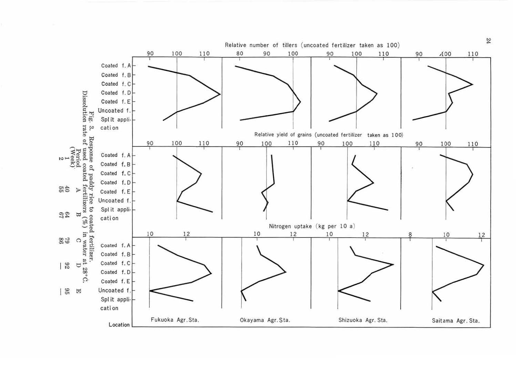